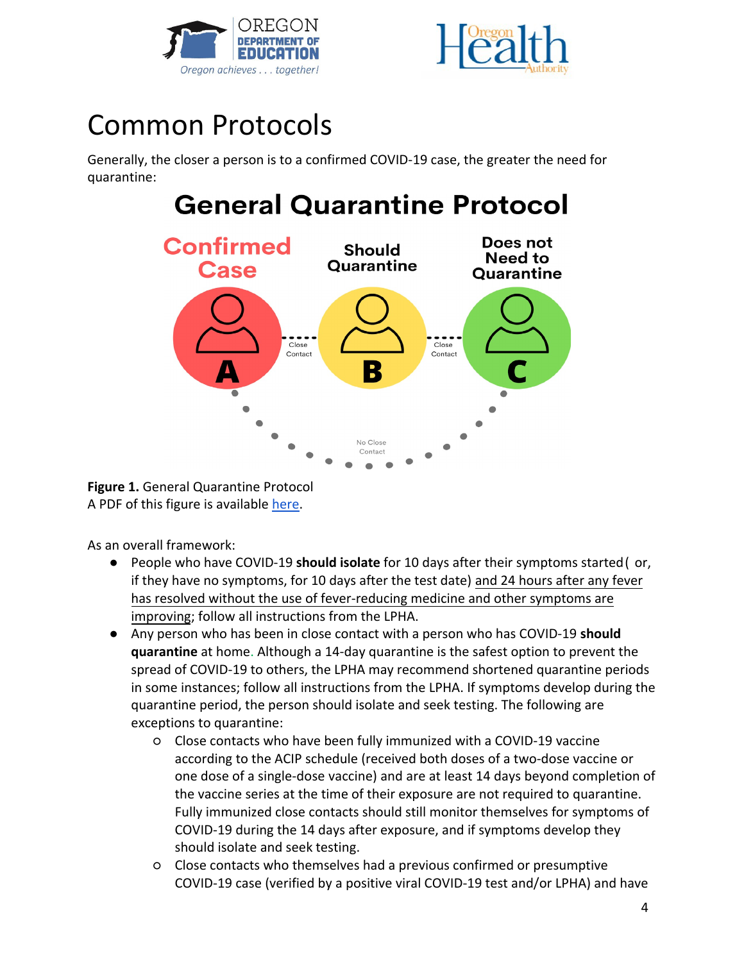



## Common Protocols

Generally, the closer a person is to a confirmed COVID-19 case, the greater the need for quarantine:

## **General Quarantine Protocol**



**Figure 1.** General Quarantine Protocol A PDF of this figure is available [here.](https://drive.google.com/file/d/1pIBNHBe6gFLFkgNANALpXh0LKPfvQkMD/view?usp=sharing)

As an overall framework:

- People who have COVID-19 **should isolate** for 10 days after their symptoms started ( or, if they have no symptoms, for 10 days after the test date) and 24 hours after any fever has resolved without the use of fever-reducing medicine and other symptoms are improving; follow all instructions from the LPHA.
- Any person who has been in close contact with a person who has COVID-19 **should quarantine** at home. Although a 14-day quarantine is the safest option to prevent the spread of COVID-19 to others, the LPHA may recommend shortened quarantine periods in some instances; follow all instructions from the LPHA. If symptoms develop during the quarantine period, the person should isolate and seek testing. The following are exceptions to quarantine:
	- Close contacts who have been fully immunized with a COVID-19 vaccine according to the ACIP schedule (received both doses of a two-dose vaccine or one dose of a single-dose vaccine) and are at least 14 days beyond completion of the vaccine series at the time of their exposure are not required to quarantine. Fully immunized close contacts should still monitor themselves for symptoms of COVID-19 during the 14 days after exposure, and if symptoms develop they should isolate and seek testing.
	- Close contacts who themselves had a previous confirmed or presumptive COVID-19 case (verified by a positive viral COVID-19 test and/or LPHA) and have